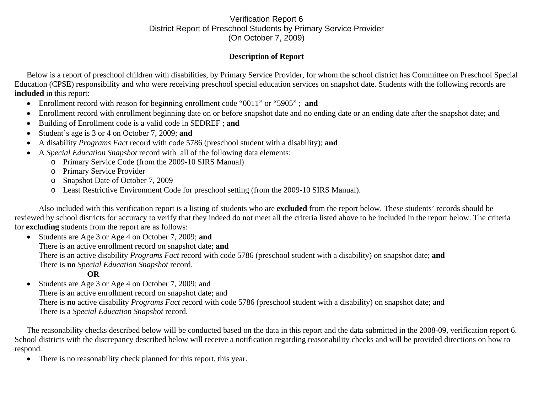## Verification Report 6 District Report of Preschool Students by Primary Service Provider (On October 7, 2009)

## **Description of Report**

Below is a report of preschool children with disabilities, by Primary Service Provider, for whom the school district has Committee on Preschool Special Education (CPSE) responsibility and who were receiving preschool special education services on snapshot date. Students with the following records are **included** in this report:

- Enrollment record with reason for beginning enrollment code "0011" or "5905" ; **and**
- •Enrollment record with enrollment beginning date on or before snapshot date and no ending date or an ending date after the snapshot date; and
- •Building of Enrollment code is a valid code in SEDREF ; **and**
- •Student's age is 3 or 4 on October 7, 2009; **and**
- •A disability *Programs Fact* record with code 5786 (preschool student with a disability); **and**
- • A *Special Education Snapshot* record with all of the following data elements:
	- o Primary Service Code (from the 2009-10 SIRS Manual)
	- o Primary Service Provider
	- o Snapshot Date of October 7, 2009
	- o Least Restrictive Environment Code for preschool setting (from the 2009-10 SIRS Manual).

Also included with this verification report is a listing of students who are **excluded** from the report below. These students' records should be reviewed by school districts for accuracy to verify that they indeed do not meet all the criteria listed above to be included in the report below. The criteria for **excluding** students from the report are as follows:

• Students are Age 3 or Age 4 on October 7, 2009; **and**  There is an active enrollment record on snapshot date; **and** There is an active disability *Programs Fact* record with code 5786 (preschool student with a disability) on snapshot date; **and** There is **no** *Special Education Snapshot* record.

## **OR**

 $\bullet$  Students are Age 3 or Age 4 on October 7, 2009; and There is an active enrollment record on snapshot date; and There is **no** active disability *Programs Fact* record with code 5786 (preschool student with a disability) on snapshot date; and There is a *Special Education Snapshot* record.

The reasonability checks described below will be conducted based on the data in this report and the data submitted in the 2008-09, verification report 6. School districts with the discrepancy described below will receive a notification regarding reasonability checks and will be provided directions on how to respond.

 $\bullet$ There is no reasonability check planned for this report, this year.